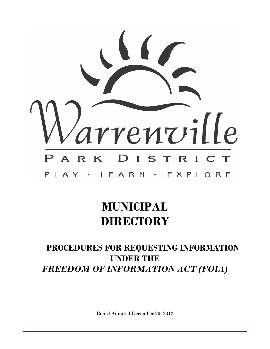

# **MUNICIPAL DIRECTORY**

# **PROCEDURES FOR REQUESTING INFORMATION UNDER THE**  *FREEDOM OF INFORMATION ACT (FOIA)*

Board Adopted December 20, 2012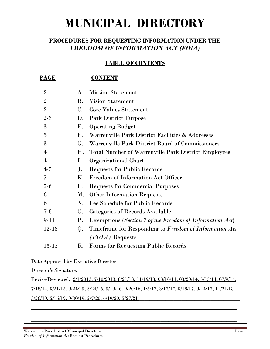# **MUNICIPAL DIRECTORY**

# **PROCEDURES FOR REQUESTING INFORMATION UNDER THE**  *FREEDOM OF INFORMATION ACT (FOIA)*

#### **TABLE OF CONTENTS**

| <u>PAGE</u>    |                      | <b>CONTENT</b>                                                  |
|----------------|----------------------|-----------------------------------------------------------------|
| $\overline{2}$ | $\bf{A}$ .           | <b>Mission Statement</b>                                        |
| $\overline{2}$ | <b>B.</b>            | <b>Vision Statement</b>                                         |
| $\overline{2}$ | $\mathbf{C}$ .       | <b>Core Values Statement</b>                                    |
| $2 - 3$        | D.                   | <b>Park District Purpose</b>                                    |
| 3              | Е.                   | <b>Operating Budget</b>                                         |
| 3              | $\mathbf{F}_{\cdot}$ | Warrenville Park District Facilities & Addresses                |
| 3              | G.                   | <b>Warrenville Park District Board of Commissioners</b>         |
| 4              | Η.                   | <b>Total Number of Warrenville Park District Employees</b>      |
| $\overline{4}$ | Ι.                   | <b>Organizational Chart</b>                                     |
| $4-5$          | J.                   | <b>Requests for Public Records</b>                              |
| 5              | Κ.                   | Freedom of Information Act Officer                              |
| $5-6$          | L.                   | <b>Requests for Commercial Purposes</b>                         |
| 6              | М.                   | <b>Other Information Requests</b>                               |
| 6              | N.                   | <b>Fee Schedule for Public Records</b>                          |
| $7 - 8$        | O.                   | <b>Categories of Records Available</b>                          |
| 9-11           | Ρ.                   | <b>Exemptions (Section 7 of the Freedom of Information Act)</b> |
| 12-13          | Q.                   | Timeframe for Responding to Freedom of Information Act          |
|                |                      | $(FOIA)$ Requests                                               |
| 13-15          | $\rm R$ .            | <b>Forms for Requesting Public Records</b>                      |
|                |                      |                                                                 |

Date Approved by Executive Director

Director's Signature:

Revise/Reviewed: 2/1/2013, 7/10/2013, 8/21/13, 11/19/13, 03/10/14, 03/20/14, 5/15/14, 07/9/14,

7/18/14, 5/21/15, 9/24/25, 3/24/16, 5/19/16, 9/20/16, 1/5/17, 3/17/17, 5/18/17, 9/14/17, 11/21/18\_

 $\overline{\phantom{a}}$  , and the contribution of the contribution of the contribution of the contribution of the contribution of the contribution of the contribution of the contribution of the contribution of the contribution of the

\_\_\_\_\_\_\_\_\_\_\_\_\_\_\_\_\_\_\_\_\_\_\_\_\_\_\_\_\_\_\_\_\_\_\_\_\_\_\_\_\_\_\_\_\_\_\_\_\_\_\_\_\_\_\_\_\_\_\_\_\_\_\_\_\_\_\_\_\_\_\_\_\_\_\_\_\_\_

3/26/19, 5/16/19, 9/30/19, 2/7/20, 6/19/20, 5/27/21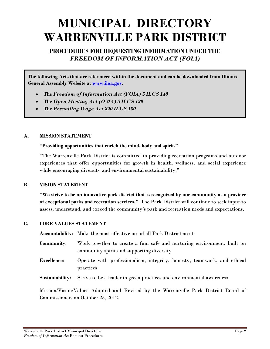# **MUNICIPAL DIRECTORY WARRENVILLE PARK DISTRICT**

## **PROCEDURES FOR REQUESTING INFORMATION UNDER THE**  *FREEDOM OF INFORMATION ACT (FOIA)*

**The following Acts that are referenced within the document and can be downloaded from Illinois General Assembly Website at www.ilga.gov.** 

- **The** *Freedom of Information Act (FOIA) 5 ILCS 140*
- **The** *Open Meeting Act (OMA) 5 ILCS 120*
- **The** *Prevailing Wage Act 820 ILCS 130*

#### **A. MISSION STATEMENT**

#### **"Providing opportunities that enrich the mind, body and spirit."**

"The Warrenville Park District is committed to providing recreation programs and outdoor experiences that offer opportunities for growth in health, wellness, and social experience while encouraging diversity and environmental sustainability."

#### **B. VISION STATEMENT**

**"We strive to be an innovative park district that is recognized by our community as a provider of exceptional parks and recreation services."** The Park District will continue to seek input to assess, understand, and exceed the community's park and recreation needs and expectations.

#### **C. CORE VALUES STATEMENT**

**Accountability**: Make the most effective use of all Park District assets

- **Community**: Work together to create a fun, safe and nurturing environment, built on community spirit and supporting diversity
- **Excellence**: Operate with professionalism, integrity, honesty, teamwork, and ethical practices
- **Sustainability:** Strive to be a leader in green practices and environmental awareness

Mission/Vision/Values Adopted and Revised by the Warrenville Park District Board of Commissioners on October 25, 2012.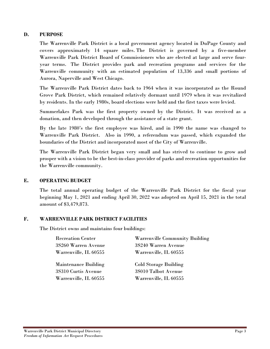#### **D. PURPOSE**

The Warrenville Park District is a local government agency located in DuPage County and covers approximately 14 square miles. The District is governed by a five-member Warrenville Park District Board of Commissioners who are elected at large and serve fouryear terms. The District provides park and recreation programs and services for the Warrenville community with an estimated population of 13,336 and small portions of Aurora, Naperville and West Chicago.

The Warrenville Park District dates back to 1964 when it was incorporated as the Round Grove Park District, which remained relatively dormant until 1979 when it was revitalized by residents. In the early 1980s, board elections were held and the first taxes were levied.

Summerlakes Park was the first property owned by the District. It was received as a donation, and then developed through the assistance of a state grant.

By the late 1980's the first employee was hired, and in 1990 the name was changed to Warrenville Park District. Also in 1990, a referendum was passed, which expanded the boundaries of the District and incorporated most of the City of Warrenville.

The Warrenville Park District began very small and has strived to continue to grow and prosper with a vision to be the best-in-class provider of parks and recreation opportunities for the Warrenville community.

#### **E. OPERATING BUDGET**

The total annual operating budget of the Warrenville Park District for the fiscal year beginning May 1, 2021 and ending April 30, 2022 was adopted on April 15, 2021 in the total amount of \$3,479,873.

#### **F. WARRENVILLE PARK DISTRICT FACILITIES**

The District owns and maintains four buildings:

| <b>Recreation Center</b>    | <b>Warrenville Community Building</b> |
|-----------------------------|---------------------------------------|
| 3S260 Warren Avenue         | 3S240 Warren Avenue                   |
| Warrenville, IL 60555       | Warrenville, IL 60555                 |
|                             |                                       |
| <b>Maintenance Building</b> | <b>Cold Storage Building</b>          |
| 3S310 Curtis Avenue         | 3S010 Talbot Avenue                   |
| Warrenville, IL 60555       | Warrenville, IL 60555                 |
|                             |                                       |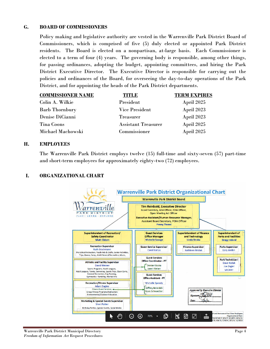#### **G. BOARD OF COMMISSIONERS**

Policy making and legislative authority are vested in the Warrenville Park District Board of Commissioners, which is comprised of five (5) duly elected or appointed Park District residents. The Board is elected on a nonpartisan, at-large basis. Each Commissioner is elected to a term of four (4) years. The governing body is responsible, among other things, for passing ordinances, adopting the budget, appointing committees, and hiring the Park District Executive Director. The Executive Director is responsible for carrying out the policies and ordinances of the Board, for overseeing the day-to-day operations of the Park District, and for appointing the heads of the Park District departments.

| <b>COMMISSIONER NAME</b> | TITLE                      | <b>TERM EXPIRES</b> |
|--------------------------|----------------------------|---------------------|
| Colin A. Wilkie          | President                  | April 2025          |
| <b>Barb Thornbury</b>    | <b>Vice President</b>      | April 2023          |
| Denise DiCianni          | <b>Treasurer</b>           | April 2023          |
| Tina Coons               | <b>Assistant Treasurer</b> | April 2025          |
| Michael Machowski        | Commissioner               | April 2025          |

#### **H. EMPLOYEES**

The Warrenville Park District employs twelve (15) full-time and sixty-seven (57) part-time and short-term employees for approximately eighty-two (72) employees.

#### **I. ORGANIZATIONAL CHART**

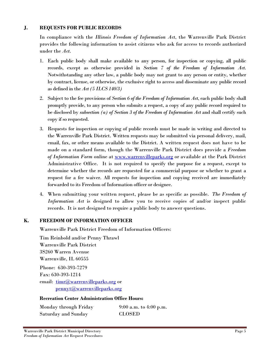#### **J. REQUESTS FOR PUBLIC RECORDS**

In compliance with the *Illinois Freedom of Information Act*, the Warrenville Park District provides the following information to assist citizens who ask for access to records authorized under the *Act*.

- 1. Each public body shall make available to any person, for inspection or copying, all public records, except as otherwise provided in *Section 7 of the Freedom of Information Act*. Notwithstanding any other law, a public body may not grant to any person or entity, whether by contract, license, or otherwise, the exclusive right to access and disseminate any public record as defined in the *Act (5 ILCS 140/3)*
- 2. Subject to the fee provisions of *Section 6 of the Freedom of Information Act*, each public body shall promptly provide, to any person who submits a request, a copy of any public record required to be disclosed by *subsection (a) of Section 3 of the Freedom of Information Act* and shall certify such copy if so requested.
- 3. Requests for inspection or copying of public records must be made in writing and directed to the Warrenville Park District. Written requests may be submitted via personal delivery, mail, email, fax, or other means available to the District. A written request does not have to be made on a standard form, though the Warrenville Park District does provide a *Freedom of Information Form* online at www.warrenvilleparks.org or available at the Park District Administrative Office. It is not required to specify the purpose for a request, except to determine whether the records are requested for a commercial purpose or whether to grant a request for a fee waiver. All requests for inspection and copying received are immediately forwarded to its Freedom of Information officer or designee.
- 4. When submitting your written request, please be as specific as possible. *The Freedom of Information Act* is designed to allow you to receive copies of and/or inspect public records. It is not designed to require a public body to answer questions.

#### **K. FREEDOM OF INFORMATION OFFICER**

Warrenville Park District Freedom of Information Officers:

Tim Reinbold and/or Penny Thrawl Warrenville Park District 3S260 Warren Avenue Warrenville, IL 60555 Phone: 630-393-7279 Fax: 630-393-1214 email:  $\text{timr@warmville}$ parks.org or pennyt@warrenvilleparks.org

#### **Recreation Center Administration Office Hours:**

| Monday through Friday      | 9:00 a.m. to 4:00 p.m. |
|----------------------------|------------------------|
| <b>Saturday and Sunday</b> | <b>CLOSED</b>          |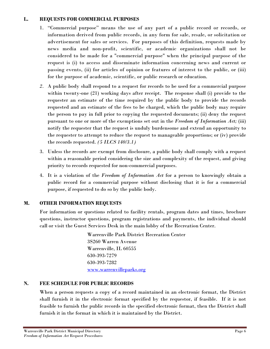#### **L. REQUESTS FOR COMMERCIAL PURPOSES**

- 1. "Commercial purpose" means the use of any part of a public record or records, or information derived from public records, in any form for sale, resale, or solicitation or advertisement for sales or services. For purposes of this definition, requests made by news media and non-profit, scientific, or academic organizations shall not be considered to be made for a "commercial purpose" when the principal purpose of the request is (i) to access and disseminate information concerning news and current or passing events, (ii) for articles of opinion or features of interest to the public, or (iii) for the purpose of academic, scientific, or public research or education.
- *2.* A public body shall respond to a request for records to be used for a commercial purpose within twenty-one (21) working days after receipt. The response shall (i) provide to the requester an estimate of the time required by the public body to provide the records requested and an estimate of the fees to be charged, which the public body may require the person to pay in full prior to copying the requested documents; (ii) deny the request pursuant to one or more of the exemptions set out in the *Freedom of Information Act;* (iii) notify the requester that the request is unduly burdensome and extend an opportunity to the requester to attempt to reduce the request to manageable proportions; or (iv) provide the records requested. *(5 ILCS 140/3.1)*
- 3. Unless the records are exempt from disclosure, a public body shall comply with a request within a reasonable period considering the size and complexity of the request, and giving priority to records requested for non-commercial purposes.
- 4. It is a violation of the *Freedom of Information Act* for a person to knowingly obtain a public record for a commercial purpose without disclosing that it is for a commercial purpose, if requested to do so by the public body.

#### **M. OTHER INFORMATION REQUESTS**

For information or questions related to facility rentals, program dates and times, brochure questions, instructor questions, program registrations and payments, the individual should call or visit the Guest Services Desk in the main lobby of the Recreation Center.

> Warrenville Park District Recreation Center 3S260 Warren Avenue Warrenville, IL 60555 630-393-7279 630-393-7282 www.warrenvilleparks.org

## **N. FEE SCHEDULE FOR PUBLIC RECORDS**

When a person requests a copy of a record maintained in an electronic format, the District shall furnish it in the electronic format specified by the requestor, if feasible. If it is not feasible to furnish the public records in the specified electronic format, then the District shall furnish it in the format in which it is maintained by the District.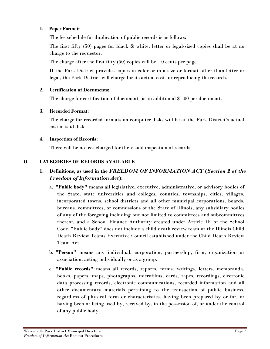#### **1. Paper Format:**

The fee schedule for duplication of public records is as follows:

The first fifty (50) pages for black  $\&$  white, letter or legal-sized copies shall be at no charge to the requestor.

The charge after the first fifty (50) copies will be .10 cents per page.

If the Park District provides copies in color or in a size or format other than letter or legal, the Park District will charge for its actual cost for reproducing the records.

#### **2. Certification of Documents:**

The charge for certification of documents is an additional \$1.00 per document.

#### **3. Recorded Format:**

The charge for recorded formats on computer disks will be at the Park District's actual cost of said disk.

#### **4. Inspection of Records:**

There will be no fees charged for the visual inspection of records.

#### **O. CATEGORIES OF RECORDS AVAILABLE**

## **1. Definitions, as used in the** *FREEDOM OF INFORMATION ACT* **(***Section 2 of the Freedom of Information Act***):**

- a. **"Public body"** means all legislative, executive, administrative, or advisory bodies of the State, state universities and colleges, counties, townships, cities, villages, incorporated towns, school districts and all other municipal corporations, boards, bureaus, committees, or commissions of the State of Illinois, any subsidiary bodies of any of the foregoing including but not limited to committees and subcommittees thereof, and a School Finance Authority created under Article 1E of the School Code. "Public body" does not include a child death review team or the Illinois Child Death Review Teams Executive Council established under the Child Death Review Team Act.
- b. **"Person"** means any individual, corporation, partnership, firm, organization or association, acting individually or as a group.
- c. **"Public records"** means all records, reports, forms, writings, letters, memoranda, books, papers, maps, photographs, microfilms, cards, tapes, recordings, electronic data processing records, electronic communications, recorded information and all other documentary materials pertaining to the transaction of public business, regardless of physical form or characteristics, having been prepared by or for, or having been or being used by, received by, in the possession of, or under the control of any public body.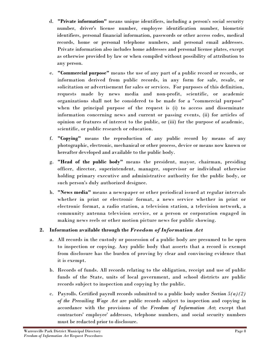- d. **"Private information"** means unique identifiers, including a person's social security number, driver's license number, employee identification number, biometric identifiers, personal financial information, passwords or other access codes, medical records, home or personal telephone numbers, and personal email addresses. Private information also includes home addresses and personal license plates, except as otherwise provided by law or when compiled without possibility of attribution to any person.
- e. **"Commercial purpose"** means the use of any part of a public record or records, or information derived from public records, in any form for sale, resale, or solicitation or advertisement for sales or services. For purposes of this definition, requests made by news media and non-profit, scientific, or academic organizations shall not be considered to be made for a "commercial purpose" when the principal purpose of the request is (i) to access and disseminate information concerning news and current or passing events, (ii) for articles of opinion or features of interest to the public, or (iii) for the purpose of academic, scientific, or public research or education.
- f. **"Copying"** means the reproduction of any public record by means of any photographic, electronic, mechanical or other process, device or means now known or hereafter developed and available to the public body.
- g. **"Head of the public body"** means the president, mayor, chairman, presiding officer, director, superintendent, manager, supervisor or individual otherwise holding primary executive and administrative authority for the public body, or such person's duly authorized designee.
- h. **"News media"** means a newspaper or other periodical issued at regular intervals whether in print or electronic format, a news service whether in print or electronic format, a radio station, a television station, a television network, a community antenna television service, or a person or corporation engaged in making news reels or other motion picture news for public showing.

## **2. Information available through the** *Freedom of Information Act*

- a. All records in the custody or possession of a public body are presumed to be open to inspection or copying. Any public body that asserts that a record is exempt from disclosure has the burden of proving by clear and convincing evidence that it is exempt.
- b. Records of funds. All records relating to the obligation, receipt and use of public funds of the State, units of local government, and school districts are public records subject to inspection and copying by the public.
- c. Payrolls. Certified payroll records submitted to a public body under *Section 5(a)(2) of the Prevailing Wage Act* are public records subject to inspection and copying in accordance with the provisions of the *Freedom of Information Act*; except that contractors' employee' addresses, telephone numbers, and social security numbers must be redacted prior to disclosure.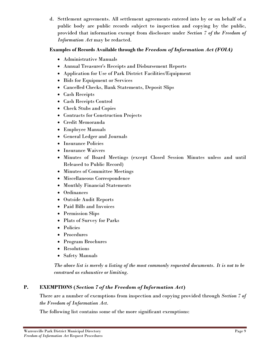d. Settlement agreements. All settlement agreements entered into by or on behalf of a public body are public records subject to inspection and copying by the public, provided that information exempt from disclosure under *Section 7 of the Freedom of Information Act* may be redacted.

#### **Examples of Records Available through the** *Freedom of Information Act (FOIA)*

- Administrative Manuals
- Annual Treasurer's Receipts and Disbursement Reports
- Application for Use of Park District Facilities/Equipment
- Bids for Equipment or Services
- Cancelled Checks, Bank Statements, Deposit Slips
- Cash Receipts
- Cash Receipts Control
- Check Stubs and Copies
- Contracts for Construction Projects
- Credit Memoranda
- Employee Manuals
- General Ledger and Journals
- Insurance Policies
- Insurance Waivers
- Minutes of Board Meetings (except Closed Session Minutes unless and until Released to Public Record)
- Minutes of Committee Meetings
- Miscellaneous Correspondence
- Monthly Financial Statements
- Ordinances
- Outside Audit Reports
- Paid Bills and Invoices
- Permission Slips
- Plats of Survey for Parks
- Policies
- Procedures
- Program Brochures
- Resolutions
- Safety Manuals

*The above list is merely a listing of the most commonly requested documents. It is not to be construed as exhaustive or limiting.* 

## **P. EXEMPTIONS (***Section 7 of the Freedom of Information Act***)**

There are a number of exemptions from inspection and copying provided through *Section 7 of the Freedom of Information Act.* 

The following list contains some of the more significant exemptions: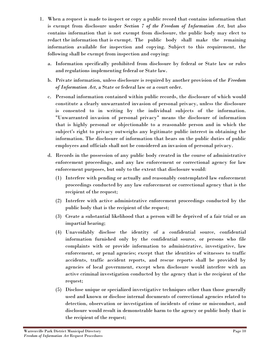- 1. When a request is made to inspect or copy a public record that contains information that is exempt from disclosure under *Section 7 of the Freedom of Information Act*, but also contains information that is not exempt from disclosure, the public body may elect to redact the information that is exempt. The public body shall make the remaining information available for inspection and copying. Subject to this requirement, the following shall be exempt from inspection and copying:
	- a. Information specifically prohibited from disclosure by federal or State law or rules and regulations implementing federal or State law.
	- b. Private information, unless disclosure is required by another provision of the *Freedom of Information Act*, a State or federal law or a court order.
	- c. Personal information contained within public records, the disclosure of which would constitute a clearly unwarranted invasion of personal privacy, unless the disclosure is consented to in writing by the individual subjects of the information. "Unwarranted invasion of personal privacy" means the disclosure of information that is highly personal or objectionable to a reasonable person and in which the subject's right to privacy outweighs any legitimate public interest in obtaining the information. The disclosure of information that bears on the public duties of public employees and officials shall not be considered an invasion of personal privacy.
	- d. Records in the possession of any public body created in the course of administrative enforcement proceedings, and any law enforcement or correctional agency for law enforcement purposes, but only to the extent that disclosure would:
		- (1) Interfere with pending or actually and reasonably contemplated law enforcement proceedings conducted by any law enforcement or correctional agency that is the recipient of the request;
		- (2) Interfere with active administrative enforcement proceedings conducted by the public body that is the recipient of the request;
		- (3) Create a substantial likelihood that a person will be deprived of a fair trial or an impartial hearing;
		- (4) Unavoidably disclose the identity of a confidential source, confidential information furnished only by the confidential source, or persons who file complaints with or provide information to administrative, investigative, law enforcement, or penal agencies; except that the identities of witnesses to traffic accidents, traffic accident reports, and rescue reports shall be provided by agencies of local government, except when disclosure would interfere with an active criminal investigation conducted by the agency that is the recipient of the request;
		- (5) Disclose unique or specialized investigative techniques other than those generally used and known or disclose internal documents of correctional agencies related to detection, observation or investigation of incidents of crime or misconduct, and disclosure would result in demonstrable harm to the agency or public body that is the recipient of the request;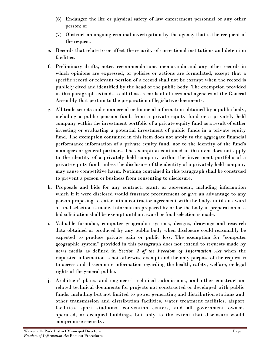- (6) Endanger the life or physical safety of law enforcement personnel or any other person; or
- (7) Obstruct an ongoing criminal investigation by the agency that is the recipient of the request.
- e. Records that relate to or affect the security of correctional institutions and detention facilities.
- f. Preliminary drafts, notes, recommendations, memoranda and any other records in which opinions are expressed, or policies or actions are formulated, except that a specific record or relevant portion of a record shall not be exempt when the record is publicly cited and identified by the head of the public body. The exemption provided in this paragraph extends to all those records of officers and agencies of the General Assembly that pertain to the preparation of legislative documents.
- g. All trade secrets and commercial or financial information obtained by a public body, including a public pension fund, from a private equity fund or a privately held company within the investment portfolio of a private equity fund as a result of either investing or evaluating a potential investment of public funds in a private equity fund. The exemption contained in this item does not apply to the aggregate financial performance information of a private equity fund, nor to the identity of the fund's managers or general partners. The exemption contained in this item does not apply to the identity of a privately held company within the investment portfolio of a private equity fund, unless the disclosure of the identity of a privately held company may cause competitive harm. Nothing contained in this paragraph shall be construed to prevent a person or business from consenting to disclosure.
- h. Proposals and bids for any contract, grant, or agreement, including information which if it were disclosed would frustrate procurement or give an advantage to any person proposing to enter into a contractor agreement with the body, until an award of final selection is made. Information prepared by or for the body in preparation of a bid solicitation shall be exempt until an award or final selection is made.
- i. Valuable formulae, computer geographic systems, designs, drawings and research data obtained or produced by any public body when disclosure could reasonably be expected to produce private gain or public loss. The exemption for "computer geographic system" provided in this paragraph does not extend to requests made by news media as defined in *Section 2 of the Freedom of Information Act* when the requested information is not otherwise exempt and the only purpose of the request is to access and disseminate information regarding the health, safety, welfare, or legal rights of the general public.
- j. Architects' plans, and engineers' technical submissions, and other construction related technical documents for projects not constructed or developed with public funds, including but not limited to power generating and distribution stations and other transmission and distribution facilities, water treatment facilities, airport facilities, sport stadiums, convention centers, and all government owned, operated, or occupied buildings, but only to the extent that disclosure would compromise security.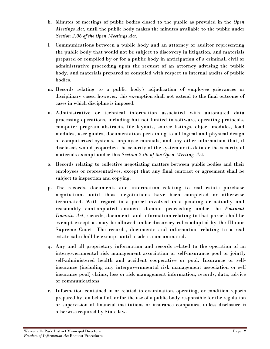- k. Minutes of meetings of public bodies closed to the public as provided in the *Open Meetings Act*, until the public body makes the minutes available to the public under *Section 2.06 of the Open Meetings Act*.
- l. Communications between a public body and an attorney or auditor representing the public body that would not be subject to discovery in litigation, and materials prepared or compiled by or for a public body in anticipation of a criminal, civil or administrative proceeding upon the request of an attorney advising the public body, and materials prepared or compiled with respect to internal audits of public bodies.
- m. Records relating to a public body's adjudication of employee grievances or disciplinary cases; however, this exemption shall not extend to the final outcome of cases in which discipline is imposed.
- n. Administrative or technical information associated with automated data processing operations, including but not limited to software, operating protocols, computer program abstracts, file layouts, source listings, object modules, load modules, user guides, documentation pertaining to all logical and physical design of computerized systems, employee manuals, and any other information that, if disclosed, would jeopardize the security of the system or its data or the security of materials exempt under this *Section 2.06 of the Open Meeting Act*.
- o. Records relating to collective negotiating matters between public bodies and their employees or representatives, except that any final contract or agreement shall be subject to inspection and copying.
- p. The records, documents and information relating to real estate purchase negotiations until those negotiations have been completed or otherwise terminated. With regard to a parcel involved in a pending or actually and reasonably contemplated eminent domain proceeding under the *Eminent Domain Act*, records, documents and information relating to that parcel shall be exempt except as may be allowed under discovery rules adopted by the Illinois Supreme Court. The records, documents and information relating to a real estate sale shall be exempt until a sale is consummated.
- q. Any and all proprietary information and records related to the operation of an intergovernmental risk management association or self-insurance pool or jointly self-administered health and accident cooperative or pool. Insurance or selfinsurance (including any intergovernmental risk management association or self insurance pool) claims, loss or risk management information, records, data, advice or communications.
- r. Information contained in or related to examination, operating, or condition reports prepared by, on behalf of, or for the use of a public body responsible for the regulation or supervision of financial institutions or insurance companies, unless disclosure is otherwise required by State law.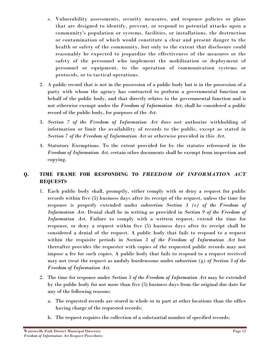- s. Vulnerability assessments, security measures, and response policies or plans that are designed to identify, prevent, or respond to potential attacks upon a community's population or systems, facilities, or installations, the destruction or contamination of which would constitute a clear and present danger to the health or safety of the community, but only to the extent that disclosure could reasonably be expected to jeopardize the effectiveness of the measures or the safety of the personnel who implement the mobilization or deployment of personnel or equipment, to the operation of communication systems or protocols, or to tactical operations.
- 2. A public record that is not in the possession of a public body but is in the possession of a party with whom the agency has contracted to perform a governmental function on behalf of the public body, and that directly relates to the governmental function and is not otherwise exempt under the *Freedom of Information Act*, shall be considered a public record of the public body, for purposes of the *Act*.
- 3. *Section 7 of the Freedom of Information Act* does not authorize withholding of information or limit the availability of records to the public, except as stated in *Section 7 of the Freedom of Information Act* or otherwise provided in this *Act*.
- 4. Statutory Exemptions. To the extent provided for by the statutes referenced in the *Freedom of Information Act*, certain other documents shall be exempt from inspection and copying.

#### **Q. TIME FRAME FOR RESPONDING TO** *FREEDOM OF INFORMATION ACT* **REQUESTS**

- 1. Each public body shall, promptly, either comply with or deny a request for public records within five (5) business days after its receipt of the request, unless the time for response is properly extended under *subsection Section 3 (e) of the Freedom of Information Act*. Denial shall be in writing as provided in *Section 9 of the Freedom of Information Act*. Failure to comply with a written request, extend the time for response, or deny a request within five (5) business days after its receipt shall be considered a denial of the request. A public body that fails to respond to a request within the requisite periods in *Section 3 of the Freedom of Information Act* but thereafter provides the requester with copies of the requested public records may not impose a fee for such copies. A public body that fails to respond to a request received may not treat the request as unduly burdensome under *subsection (g) of Section 3 of the Freedom of Information Act*.
- 2. The time for response under *Section 3 of the Freedom of Information Act* may be extended by the public body for not more than five (5) business days from the original due date for any of the following reasons:
	- a. The requested records are stored in whole or in part at other locations than the office having charge of the requested records;
	- b. The request requires the collection of a substantial number of specified records;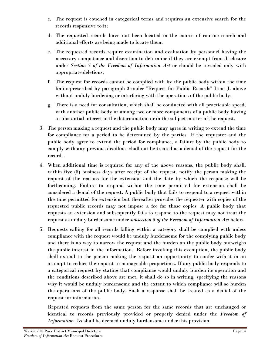- c. The request is couched in categorical terms and requires an extensive search for the records responsive to it;
- d. The requested records have not been located in the course of routine search and additional efforts are being made to locate them;
- e. The requested records require examination and evaluation by personnel having the necessary competence and discretion to determine if they are exempt from disclosure under *Section 7 of the Freedom of Information Act* or should be revealed only with appropriate deletions;
- f. The request for records cannot be complied with by the public body within the time limits prescribed by paragraph 3 under "Request for Public Records" Item J. above without unduly burdening or interfering with the operations of the public body;
- g. There is a need for consultation, which shall be conducted with all practicable speed, with another public body or among two or more components of a public body having a substantial interest in the determination or in the subject matter of the request.
- 3. The person making a request and the public body may agree in writing to extend the time for compliance for a period to be determined by the parties. If the requester and the public body agree to extend the period for compliance, a failure by the public body to comply with any previous deadlines shall not be treated as a denial of the request for the records.
- 4. When additional time is required for any of the above reasons, the public body shall, within five (5) business days after receipt of the request, notify the person making the request of the reasons for the extension and the date by which the response will be forthcoming. Failure to respond within the time permitted for extension shall be considered a denial of the request. A public body that fails to respond to a request within the time permitted for extension but thereafter provides the requester with copies of the requested public records may not impose a fee for those copies. A public body that requests an extension and subsequently fails to respond to the request may not treat the request as unduly burdensome under *subsection 5 of the Freedom of Information Act* below.
- 5. Requests calling for all records falling within a category shall be complied with unless compliance with the request would be unduly burdensome for the complying public body and there is no way to narrow the request and the burden on the public body outweighs the public interest in the information. Before invoking this exemption, the public body shall extend to the person making the request an opportunity to confer with it in an attempt to reduce the request to manageable proportions. If any public body responds to a categorical request by stating that compliance would unduly burden its operation and the conditions described above are met, it shall do so in writing, specifying the reasons why it would be unduly burdensome and the extent to which compliance will so burden the operations of the public body. Such a response shall be treated as a denial of the request for information.

Repeated requests from the same person for the same records that are unchanged or identical to records previously provided or properly denied under the *Freedom of Information Act* shall be deemed unduly burdensome under this provision.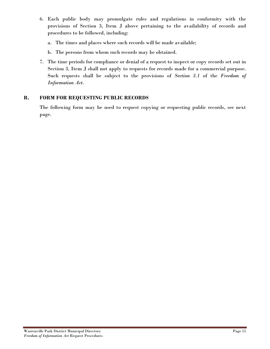- 6. Each public body may promulgate rules and regulations in conformity with the provisions of Section 3, Item J above pertaining to the availability of records and procedures to be followed, including:
	- a. The times and places where such records will be made available;
	- b. The persons from whom such records may be obtained.
- 7. The time periods for compliance or denial of a request to inspect or copy records set out in Section 3, Item J shall not apply to requests for records made for a commercial purpose. Such requests shall be subject to the provisions of *Section 3.1* of the *Freedom of Information Act*.

#### **R. FORM FOR REQUESTING PUBLIC RECORDS**

The following form may be used to request copying or requesting public records, see next page.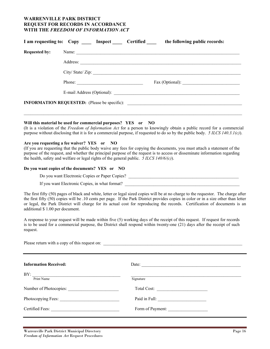#### **WARRENVILLE PARK DISTRICT REQUEST FOR RECORDS IN ACCORDANCE WITH THE** *FREEDOM OF INFORMATION ACT*

| <b>Requested by:</b> |                 |
|----------------------|-----------------|
|                      |                 |
|                      | Address:        |
|                      | City/State/Zip: |
|                      | Phone:          |
|                      |                 |
|                      |                 |

#### **Will this material be used for commercial purposes? YES or NO**

(It is a violation of the *Freedom of Information Act* for a person to knowingly obtain a public record for a commercial purpose without disclosing that it is for a commercial purpose, if requested to do so by the public body. *5 ILCS 140.3.1(c)*).

#### **Are you requesting a fee waiver? YES or NO**

(If you are requesting that the public body waive any fees for copying the documents, you must attach a statement of the purpose of the request, and whether the principal purpose of the request is to access or disseminate information regarding the health, safety and welfare or legal rights of the general public. *5 ILCS 140/6/(c)*).

#### **Do you want copies of the documents? YES or NO**

Do you want Electronic Copies or Paper Copies?

If you want Electronic Copies, in what format?

The first fifty (50) pages of black and white, letter or legal sized copies will be at no charge to the requestor. The charge after the first fifty (50) copies will be .10 cents per page. If the Park District provides copies in color or in a size other than letter or legal, the Park District will charge for its actual cost for reproducing the records. Certification of documents is an additional \$ 1.00 per document.

A response to your request will be made within five (5) working days of the receipt of this request. If request for records is to be used for a commercial purpose, the District shall respond within twenty-one (21) days after the receipt of such request.

Please return with a copy of this request on: **Information Received: Date: Date: Date: Date: Date: Date: Date: Date: Date: Date: Date: Date: Date: Date: Date: Date: Date: Date: Date: Date: Date: Date: Date: Date: Date:**  $\rm BY:$ Print Name Signature Number of Photocopies: <br>
Total Cost: Photocopying Fees: \_\_\_\_\_\_\_\_\_\_\_\_\_\_\_\_\_\_\_\_\_\_\_\_\_\_\_ Paid in Full: \_\_\_\_\_\_\_\_\_\_\_\_\_\_\_\_\_\_\_\_\_\_ Certified Fees:  $\Box$  Form of Payment: